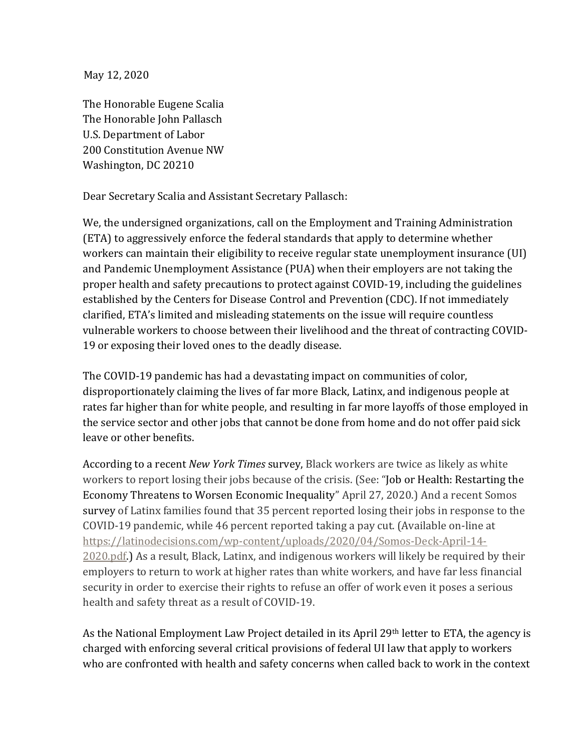May 12, 2020

The Honorable Eugene Scalia The Honorable John Pallasch U.S. Department of Labor 200 Constitution Avenue NW Washington, DC 20210

Dear Secretary Scalia and Assistant Secretary Pallasch:

We, the undersigned organizations, call on the Employment and Training Administration (ETA) to aggressively enforce the federal standards that apply to determine whether workers can maintain their eligibility to receive regular state unemployment insurance (UI) and Pandemic Unemployment Assistance (PUA) when their employers are not taking the proper health and safety precautions to protect against COVID-19, including the guidelines established by the Centers for Disease Control and Prevention (CDC). If not immediately clarified, ETA's limited and misleading statements on the issue will require countless vulnerable workers to choose between their livelihood and the threat of contracting COVID-19 or exposing their loved ones to the deadly disease.

The COVID-19 pandemic has had a devastating impact on communities of color, disproportionately claiming the lives of far more Black, Latinx, and indigenous people at rates far higher than for white people, and resulting in far more layoffs of those employed in the service sector and other jobs that cannot be done from home and do not offer paid sick leave or other benefits.

According to a recent *New York Times* survey, Black workers are twice as likely as white workers to report losing their jobs because of the crisis. (See: "Job or Health: Restarting the Economy Threatens to Worsen Economic Inequality" April 27, 2020.) And a recent Somos survey of Latinx families found that 35 percent reported losing their jobs in response to the COVID-19 pandemic, while 46 percent reported taking a pay cut. (Available on-line at https://latinodecisions.com/wp-content/uploads/2020/04/Somos-Deck-April-14- 2020.pdf.) As a result, Black, Latinx, and indigenous workers will likely be required by their employers to return to work at higher rates than white workers, and have far less financial security in order to exercise their rights to refuse an offer of work even it poses a serious health and safety threat as a result of COVID-19.

As the National Employment Law Project detailed in its April 29th letter to ETA, the agency is charged with enforcing several critical provisions of federal UI law that apply to workers who are confronted with health and safety concerns when called back to work in the context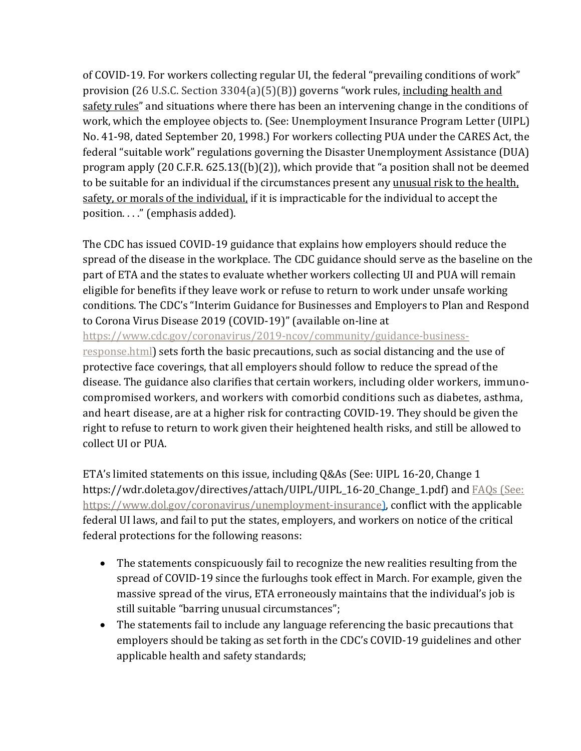of COVID-19. For workers collecting regular UI, the federal "prevailing conditions of work" provision (26 U.S.C. Section 3304(a)(5)(B)) governs "work rules, including health and safety rules" and situations where there has been an intervening change in the conditions of work, which the employee objects to. (See: Unemployment Insurance Program Letter (UIPL) No. 41-98, dated September 20, 1998.) For workers collecting PUA under the CARES Act, the federal "suitable work" regulations governing the Disaster Unemployment Assistance (DUA) program apply (20 C.F.R. 625.13((b)(2)), which provide that "a position shall not be deemed to be suitable for an individual if the circumstances present any unusual risk to the health, safety, or morals of the individual, if it is impracticable for the individual to accept the position. . . ." (emphasis added).

The CDC has issued COVID-19 guidance that explains how employers should reduce the spread of the disease in the workplace. The CDC guidance should serve as the baseline on the part of ETA and the states to evaluate whether workers collecting UI and PUA will remain eligible for benefits if they leave work or refuse to return to work under unsafe working conditions. The CDC's "Interim Guidance for Businesses and Employers to Plan and Respond to Corona Virus Disease 2019 (COVID-19)" (available on-line at

[https://www.cdc.gov/coronavirus/2019-ncov/community/guidance-business-](https://www.cdc.gov/coronavirus/2019-ncov/community/guidance-business-response.html)

[response.html\)](https://www.cdc.gov/coronavirus/2019-ncov/community/guidance-business-response.html) sets forth the basic precautions, such as social distancing and the use of protective face coverings, that all employers should follow to reduce the spread of the disease. The guidance also clarifies that certain workers, including older workers, immunocompromised workers, and workers with comorbid conditions such as diabetes, asthma, and heart disease, are at a higher risk for contracting COVID-19. They should be given the right to refuse to return to work given their heightened health risks, and still be allowed to collect UI or PUA.

ETA's limited statements on this issue, including Q&As (See: UIPL 16-20, Change 1 https://wdr.doleta.gov/directives/attach/UIPL/UIPL\_16-20\_Change\_1.pdf) and **FAQs** (See: https://www.dol.gov/coronavirus/unemployment-insurance), conflict with the applicable federal UI laws, and fail to put the states, employers, and workers on notice of the critical federal protections for the following reasons:

- The statements conspicuously fail to recognize the new realities resulting from the spread of COVID-19 since the furloughs took effect in March. For example, given the massive spread of the virus, ETA erroneously maintains that the individual's job is still suitable "barring unusual circumstances";
- The statements fail to include any language referencing the basic precautions that employers should be taking as set forth in the CDC's COVID-19 guidelines and other applicable health and safety standards;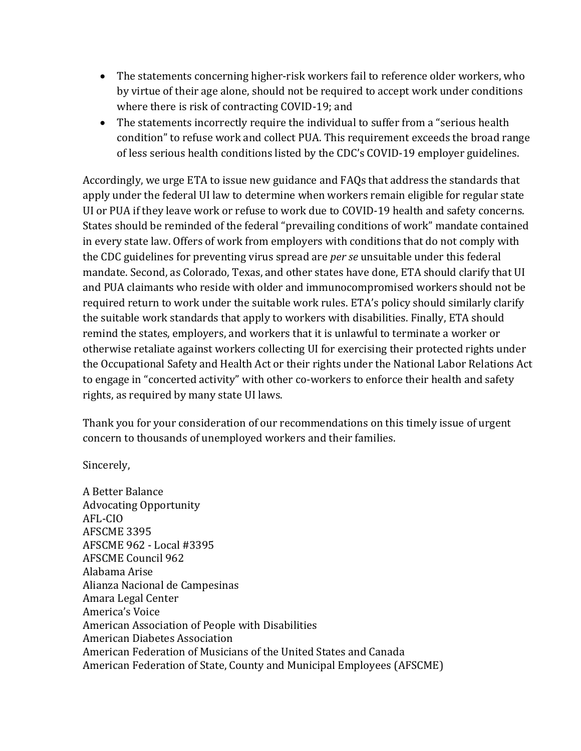- The statements concerning higher-risk workers fail to reference older workers, who by virtue of their age alone, should not be required to accept work under conditions where there is risk of contracting COVID-19; and
- The statements incorrectly require the individual to suffer from a "serious health" condition" to refuse work and collect PUA. This requirement exceeds the broad range of less serious health conditions listed by the CDC's COVID-19 employer guidelines.

Accordingly, we urge ETA to issue new guidance and FAQs that address the standards that apply under the federal UI law to determine when workers remain eligible for regular state UI or PUA if they leave work or refuse to work due to COVID-19 health and safety concerns. States should be reminded of the federal "prevailing conditions of work" mandate contained in every state law. Offers of work from employers with conditions that do not comply with the CDC guidelines for preventing virus spread are *per se* unsuitable under this federal mandate. Second, as Colorado, Texas, and other states have done, ETA should clarify that UI and PUA claimants who reside with older and immunocompromised workers should not be required return to work under the suitable work rules. ETA's policy should similarly clarify the suitable work standards that apply to workers with disabilities. Finally, ETA should remind the states, employers, and workers that it is unlawful to terminate a worker or otherwise retaliate against workers collecting UI for exercising their protected rights under the Occupational Safety and Health Act or their rights under the National Labor Relations Act to engage in "concerted activity" with other co-workers to enforce their health and safety rights, as required by many state UI laws.

Thank you for your consideration of our recommendations on this timely issue of urgent concern to thousands of unemployed workers and their families.

Sincerely,

A Better Balance Advocating Opportunity AFL-CIO AFSCME 3395 AFSCME 962 - Local #3395 AFSCME Council 962 Alabama Arise Alianza Nacional de Campesinas Amara Legal Center America's Voice American Association of People with Disabilities American Diabetes Association American Federation of Musicians of the United States and Canada American Federation of State, County and Municipal Employees (AFSCME)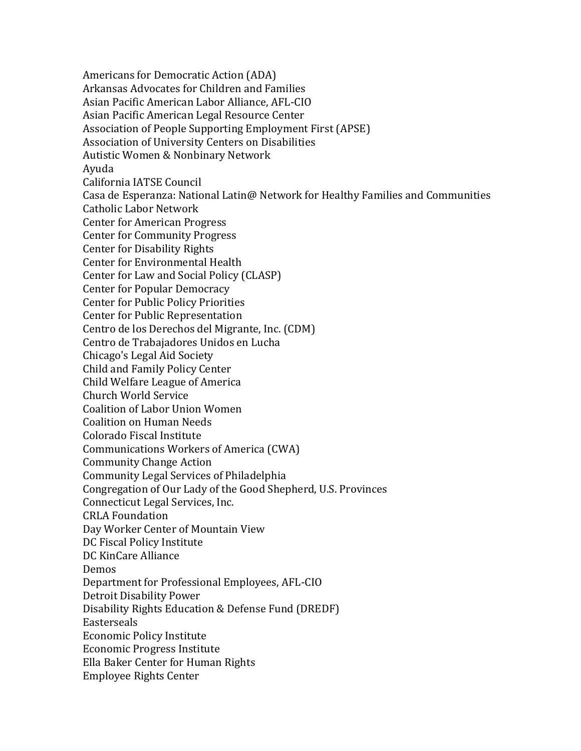Americans for Democratic Action (ADA) Arkansas Advocates for Children and Families Asian Pacific American Labor Alliance, AFL-CIO Asian Pacific American Legal Resource Center Association of People Supporting Employment First (APSE) Association of University Centers on Disabilities Autistic Women & Nonbinary Network Ayuda California IATSE Council Casa de Esperanza: National Latin@ Network for Healthy Families and Communities Catholic Labor Network Center for American Progress Center for Community Progress Center for Disability Rights Center for Environmental Health Center for Law and Social Policy (CLASP) Center for Popular Democracy Center for Public Policy Priorities Center for Public Representation Centro de los Derechos del Migrante, Inc. (CDM) Centro de Trabajadores Unidos en Lucha Chicago's Legal Aid Society Child and Family Policy Center Child Welfare League of America Church World Service Coalition of Labor Union Women Coalition on Human Needs Colorado Fiscal Institute Communications Workers of America (CWA) Community Change Action Community Legal Services of Philadelphia Congregation of Our Lady of the Good Shepherd, U.S. Provinces Connecticut Legal Services, Inc. CRLA Foundation Day Worker Center of Mountain View DC Fiscal Policy Institute DC KinCare Alliance Demos Department for Professional Employees, AFL-CIO Detroit Disability Power Disability Rights Education & Defense Fund (DREDF) **Easterseals** Economic Policy Institute Economic Progress Institute Ella Baker Center for Human Rights Employee Rights Center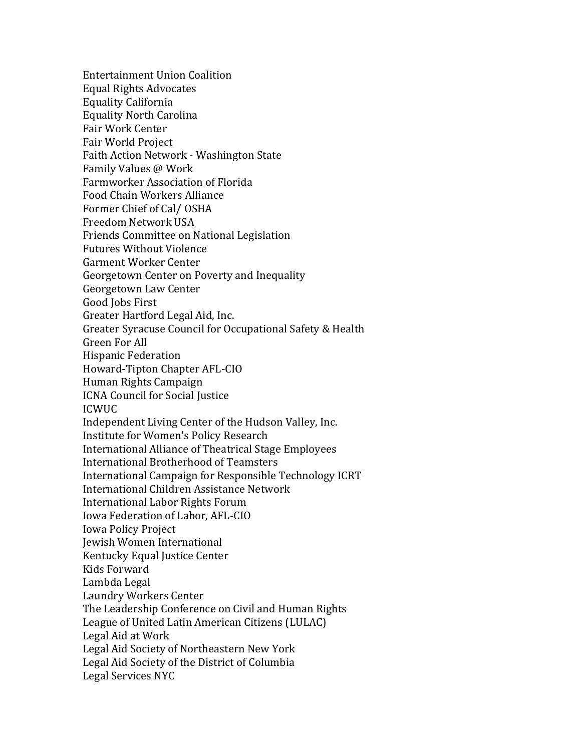Entertainment Union Coalition Equal Rights Advocates Equality California Equality North Carolina Fair Work Center Fair World Project Faith Action Network - Washington State Family Values @ Work Farmworker Association of Florida Food Chain Workers Alliance Former Chief of Cal/ OSHA Freedom Network USA Friends Committee on National Legislation Futures Without Violence Garment Worker Center Georgetown Center on Poverty and Inequality Georgetown Law Center Good Jobs First Greater Hartford Legal Aid, Inc. Greater Syracuse Council for Occupational Safety & Health Green For All Hispanic Federation Howard-Tipton Chapter AFL-CIO Human Rights Campaign ICNA Council for Social Justice ICWUC Independent Living Center of the Hudson Valley, Inc. Institute for Women's Policy Research International Alliance of Theatrical Stage Employees International Brotherhood of Teamsters International Campaign for Responsible Technology ICRT International Children Assistance Network International Labor Rights Forum Iowa Federation of Labor, AFL-CIO Iowa Policy Project Jewish Women International Kentucky Equal Justice Center Kids Forward Lambda Legal Laundry Workers Center The Leadership Conference on Civil and Human Rights League of United Latin American Citizens (LULAC) Legal Aid at Work Legal Aid Society of Northeastern New York Legal Aid Society of the District of Columbia Legal Services NYC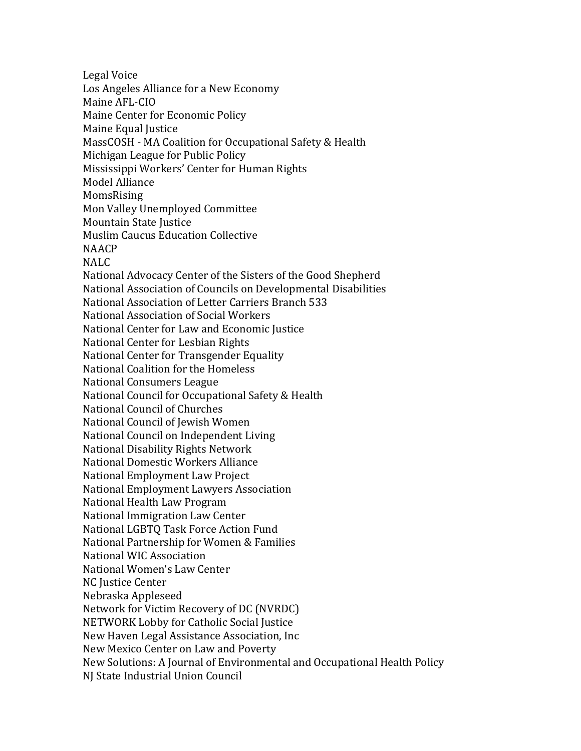Legal Voice Los Angeles Alliance for a New Economy Maine AFL-CIO Maine Center for Economic Policy Maine Equal Justice MassCOSH - MA Coalition for Occupational Safety & Health Michigan League for Public Policy Mississippi Workers' Center for Human Rights Model Alliance MomsRising Mon Valley Unemployed Committee Mountain State Justice Muslim Caucus Education Collective NAACP NALC National Advocacy Center of the Sisters of the Good Shepherd National Association of Councils on Developmental Disabilities National Association of Letter Carriers Branch 533 National Association of Social Workers National Center for Law and Economic Justice National Center for Lesbian Rights National Center for Transgender Equality National Coalition for the Homeless National Consumers League National Council for Occupational Safety & Health National Council of Churches National Council of Jewish Women National Council on Independent Living National Disability Rights Network National Domestic Workers Alliance National Employment Law Project National Employment Lawyers Association National Health Law Program National Immigration Law Center National LGBTQ Task Force Action Fund National Partnership for Women & Families National WIC Association National Women's Law Center NC Justice Center Nebraska Appleseed Network for Victim Recovery of DC (NVRDC) NETWORK Lobby for Catholic Social Justice New Haven Legal Assistance Association, Inc New Mexico Center on Law and Poverty New Solutions: A Journal of Environmental and Occupational Health Policy NJ State Industrial Union Council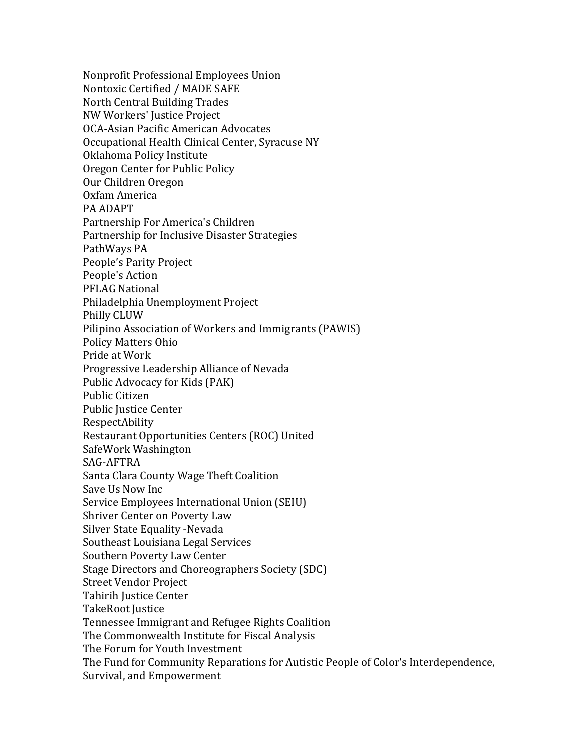Nonprofit Professional Employees Union Nontoxic Certified / MADE SAFE North Central Building Trades NW Workers' Justice Project OCA-Asian Pacific American Advocates Occupational Health Clinical Center, Syracuse NY Oklahoma Policy Institute Oregon Center for Public Policy Our Children Oregon Oxfam America PA ADAPT Partnership For America's Children Partnership for Inclusive Disaster Strategies PathWays PA People's Parity Project People's Action PFLAG National Philadelphia Unemployment Project Philly CLUW Pilipino Association of Workers and Immigrants (PAWIS) Policy Matters Ohio Pride at Work Progressive Leadership Alliance of Nevada Public Advocacy for Kids (PAK) Public Citizen Public Justice Center RespectAbility Restaurant Opportunities Centers (ROC) United SafeWork Washington SAG-AFTRA Santa Clara County Wage Theft Coalition Save Us Now Inc Service Employees International Union (SEIU) Shriver Center on Poverty Law Silver State Equality -Nevada Southeast Louisiana Legal Services Southern Poverty Law Center Stage Directors and Choreographers Society (SDC) Street Vendor Project Tahirih Justice Center TakeRoot Justice Tennessee Immigrant and Refugee Rights Coalition The Commonwealth Institute for Fiscal Analysis The Forum for Youth Investment The Fund for Community Reparations for Autistic People of Color's Interdependence, Survival, and Empowerment